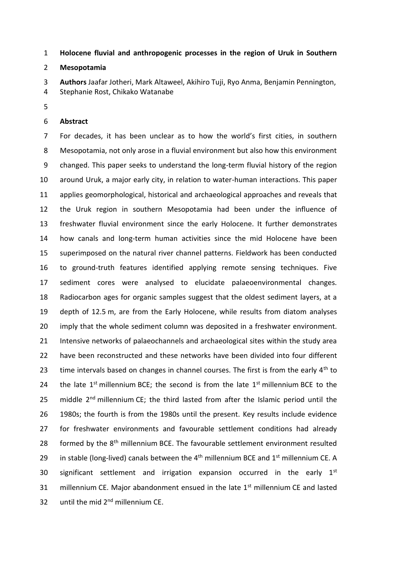**Holocene fluvial and anthropogenic processes in the region of Uruk in Southern** 

# **Mesopotamia**

 **Authors** Jaafar Jotheri, Mark Altaweel, Akihiro Tuji, Ryo Anma, Benjamin Pennington, Stephanie Rost, Chikako Watanabe

## **Abstract**

 For decades, it has been unclear as to how the world's first cities, in southern Mesopotamia, not only arose in a fluvial environment but also how this environment changed. This paper seeks to understand the long-term fluvial history of the region around Uruk, a major early city, in relation to water-human interactions. This paper applies geomorphological, historical and archaeological approaches and reveals that the Uruk region in southern Mesopotamia had been under the influence of freshwater fluvial environment since the early Holocene. It further demonstrates how canals and long-term human activities since the mid Holocene have been superimposed on the natural river channel patterns. Fieldwork has been conducted to ground-truth features identified applying remote sensing techniques. Five sediment cores were analysed to elucidate palaeoenvironmental changes. Radiocarbon ages for organic samples suggest that the oldest sediment layers, at a depth of 12.5 m, are from the Early Holocene, while results from diatom analyses 20 imply that the whole sediment column was deposited in a freshwater environment. Intensive networks of palaeochannels and archaeological sites within the study area have been reconstructed and these networks have been divided into four different 23 time intervals based on changes in channel courses. The first is from the early  $4<sup>th</sup>$  to 24 the late  $1^{st}$  millennium BCE; the second is from the late  $1^{st}$  millennium BCE to the 25 middle  $2^{nd}$  millennium CE; the third lasted from after the Islamic period until the 1980s; the fourth is from the 1980s until the present. Key results include evidence for freshwater environments and favourable settlement conditions had already 28 formed by the  $8<sup>th</sup>$  millennium BCE. The favourable settlement environment resulted 29 in stable (long-lived) canals between the  $4<sup>th</sup>$  millennium BCE and  $1<sup>st</sup>$  millennium CE. A 30 significant settlement and irrigation expansion occurred in the early  $1<sup>st</sup>$ 31 millennium CE. Major abandonment ensued in the late  $1<sup>st</sup>$  millennium CE and lasted 32 until the mid  $2<sup>nd</sup>$  millennium CE.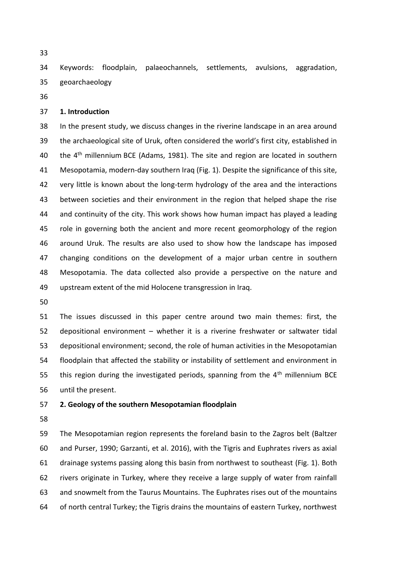Keywords: floodplain, palaeochannels, settlements, avulsions, aggradation, geoarchaeology

#### **1. Introduction**

 In the present study, we discuss changes in the riverine landscape in an area around the archaeological site of Uruk, often considered the world's first city, established in 40 the  $4<sup>th</sup>$  millennium BCE (Adams, 1981). The site and region are located in southern Mesopotamia, modern-day southern Iraq (Fig. 1). Despite the significance of this site, very little is known about the long-term hydrology of the area and the interactions between societies and their environment in the region that helped shape the rise and continuity of the city. This work shows how human impact has played a leading role in governing both the ancient and more recent geomorphology of the region around Uruk. The results are also used to show how the landscape has imposed changing conditions on the development of a major urban centre in southern Mesopotamia. The data collected also provide a perspective on the nature and upstream extent of the mid Holocene transgression in Iraq.

 The issues discussed in this paper centre around two main themes: first, the depositional environment – whether it is a riverine freshwater or saltwater tidal depositional environment; second, the role of human activities in the Mesopotamian floodplain that affected the stability or instability of settlement and environment in 55 this region during the investigated periods, spanning from the  $4<sup>th</sup>$  millennium BCE until the present.

## **2. Geology of the southern Mesopotamian floodplain**

 The Mesopotamian region represents the foreland basin to the Zagros belt (Baltzer and Purser, 1990; Garzanti, et al. 2016), with the Tigris and Euphrates rivers as axial drainage systems passing along this basin from northwest to southeast (Fig. 1). Both rivers originate in Turkey, where they receive a large supply of water from rainfall and snowmelt from the Taurus Mountains. The Euphrates rises out of the mountains of north central Turkey; the Tigris drains the mountains of eastern Turkey, northwest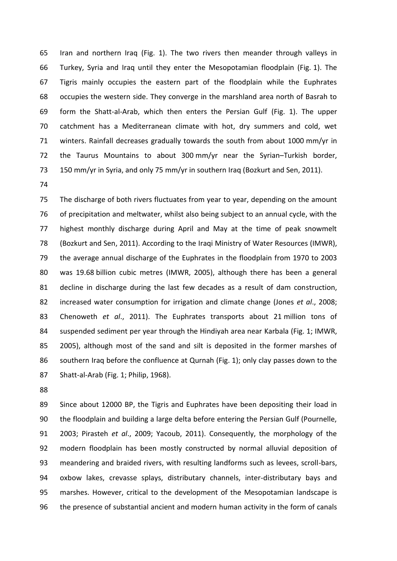Iran and northern Iraq (Fig. 1). The two rivers then meander through valleys in Turkey, Syria and Iraq until they enter the Mesopotamian floodplain (Fig. 1). The Tigris mainly occupies the eastern part of the floodplain while the Euphrates occupies the western side. They converge in the marshland area north of Basrah to form the Shatt-al-Arab, which then enters the Persian Gulf (Fig. 1). The upper catchment has a Mediterranean climate with hot, dry summers and cold, wet winters. Rainfall decreases gradually towards the south from about 1000 mm/yr in the Taurus Mountains to about 300 mm/yr near the Syrian–Turkish border, 150 mm/yr in Syria, and only 75 mm/yr in southern Iraq (Bozkurt and Sen, 2011).

 The discharge of both rivers fluctuates from year to year, depending on the amount of precipitation and meltwater, whilst also being subject to an annual cycle, with the highest monthly discharge during April and May at the time of peak snowmelt (Bozkurt and Sen, 2011). According to the Iraqi Ministry of Water Resources (IMWR), the average annual discharge of the Euphrates in the floodplain from 1970 to 2003 was 19.68 billion cubic metres (IMWR, 2005), although there has been a general decline in discharge during the last few decades as a result of dam construction, increased water consumption for irrigation and climate change (Jones *et al*., 2008; Chenoweth *et al*., 2011). The Euphrates transports about 21 million tons of suspended sediment per year through the Hindiyah area near Karbala (Fig. 1; IMWR, 2005), although most of the sand and silt is deposited in the former marshes of southern Iraq before the confluence at Qurnah (Fig. 1); only clay passes down to the Shatt-al-Arab (Fig. 1; Philip, 1968).

 Since about 12000 BP, the Tigris and Euphrates have been depositing their load in the floodplain and building a large delta before entering the Persian Gulf (Pournelle, 2003; Pirasteh *et al*., 2009; Yacoub, 2011). Consequently, the morphology of the modern floodplain has been mostly constructed by normal alluvial deposition of meandering and braided rivers, with resulting landforms such as levees, scroll-bars, oxbow lakes, crevasse splays, distributary channels, inter-distributary bays and marshes. However, critical to the development of the Mesopotamian landscape is the presence of substantial ancient and modern human activity in the form of canals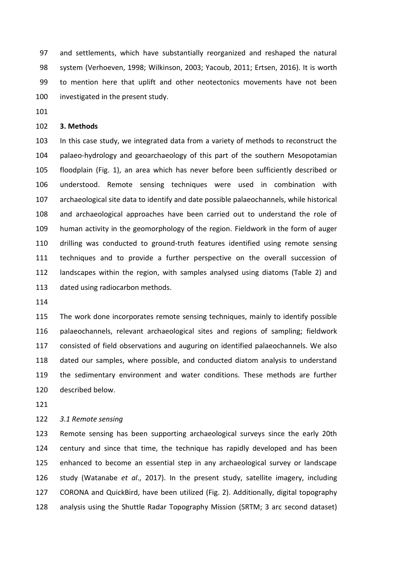and settlements, which have substantially reorganized and reshaped the natural system (Verhoeven, 1998; Wilkinson, 2003; Yacoub, 2011; Ertsen, 2016). It is worth to mention here that uplift and other neotectonics movements have not been investigated in the present study.

## **3. Methods**

 In this case study, we integrated data from a variety of methods to reconstruct the palaeo-hydrology and geoarchaeology of this part of the southern Mesopotamian floodplain (Fig. 1), an area which has never before been sufficiently described or understood. Remote sensing techniques were used in combination with archaeological site data to identify and date possible palaeochannels, while historical and archaeological approaches have been carried out to understand the role of human activity in the geomorphology of the region. Fieldwork in the form of auger drilling was conducted to ground-truth features identified using remote sensing techniques and to provide a further perspective on the overall succession of landscapes within the region, with samples analysed using diatoms (Table 2) and 113 dated using radiocarbon methods.

 The work done incorporates remote sensing techniques, mainly to identify possible palaeochannels, relevant archaeological sites and regions of sampling; fieldwork consisted of field observations and auguring on identified palaeochannels. We also dated our samples, where possible, and conducted diatom analysis to understand the sedimentary environment and water conditions. These methods are further described below.

## *3.1 Remote sensing*

 Remote sensing has been supporting archaeological surveys since the early 20th century and since that time, the technique has rapidly developed and has been enhanced to become an essential step in any archaeological survey or landscape study (Watanabe *et al*., 2017). In the present study, satellite imagery, including CORONA and QuickBird, have been utilized (Fig. 2). Additionally, digital topography analysis using the Shuttle Radar Topography Mission (SRTM; 3 arc second dataset)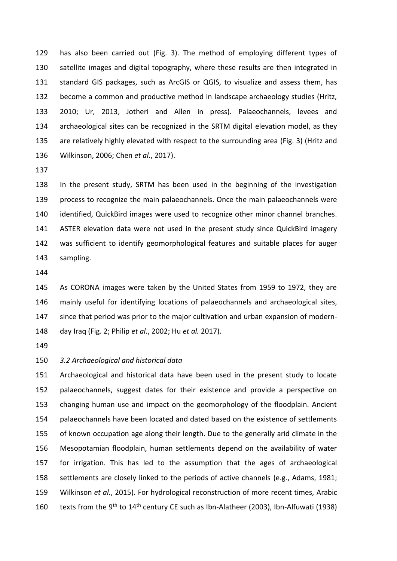has also been carried out (Fig. 3). The method of employing different types of satellite images and digital topography, where these results are then integrated in standard GIS packages, such as ArcGIS or QGIS, to visualize and assess them, has become a common and productive method in landscape archaeology studies (Hritz, 2010; Ur, 2013, Jotheri and Allen in press). Palaeochannels, levees and archaeological sites can be recognized in the SRTM digital elevation model, as they are relatively highly elevated with respect to the surrounding area (Fig. 3) (Hritz and Wilkinson, 2006; Chen *et al*., 2017).

 In the present study, SRTM has been used in the beginning of the investigation process to recognize the main palaeochannels. Once the main palaeochannels were identified, QuickBird images were used to recognize other minor channel branches. ASTER elevation data were not used in the present study since QuickBird imagery was sufficient to identify geomorphological features and suitable places for auger sampling.

 As CORONA images were taken by the United States from 1959 to 1972, they are mainly useful for identifying locations of palaeochannels and archaeological sites, since that period was prior to the major cultivation and urban expansion of modern-day Iraq (Fig. 2; Philip *et al*., 2002; Hu *et al.* 2017).

#### *3.2 Archaeological and historical data*

 Archaeological and historical data have been used in the present study to locate palaeochannels, suggest dates for their existence and provide a perspective on changing human use and impact on the geomorphology of the floodplain. Ancient palaeochannels have been located and dated based on the existence of settlements of known occupation age along their length. Due to the generally arid climate in the Mesopotamian floodplain, human settlements depend on the availability of water for irrigation. This has led to the assumption that the ages of archaeological settlements are closely linked to the periods of active channels (e.g., Adams, 1981; Wilkinson *et al.*, 2015). For hydrological reconstruction of more recent times, Arabic 160 texts from the 9<sup>th</sup> to 14<sup>th</sup> century CE such as Ibn-Alatheer (2003), Ibn-Alfuwati (1938)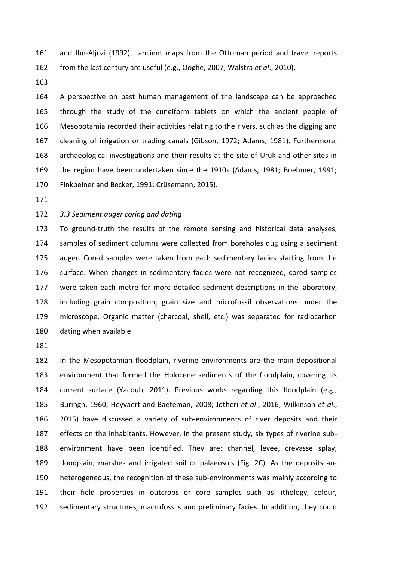and Ibn-Aljozi (1992), ancient maps from the Ottoman period and travel reports from the last century are useful (e.g., Ooghe, 2007; Walstra *et al*., 2010).

 A perspective on past human management of the landscape can be approached through the study of the cuneiform tablets on which the ancient people of Mesopotamia recorded their activities relating to the rivers, such as the digging and cleaning of irrigation or trading canals (Gibson, 1972; Adams, 1981). Furthermore, archaeological investigations and their results at the site of Uruk and other sites in the region have been undertaken since the 1910s (Adams, 1981; Boehmer, 1991; Finkbeiner and Becker, 1991; Crüsemann, 2015).

## *3.3 Sediment auger coring and dating*

 To ground-truth the results of the remote sensing and historical data analyses, samples of sediment columns were collected from boreholes dug using a sediment auger. Cored samples were taken from each sedimentary facies starting from the surface. When changes in sedimentary facies were not recognized, cored samples were taken each metre for more detailed sediment descriptions in the laboratory, including grain composition, grain size and microfossil observations under the microscope. Organic matter (charcoal, shell, etc.) was separated for radiocarbon dating when available.

 In the Mesopotamian floodplain, riverine environments are the main depositional environment that formed the Holocene sediments of the floodplain, covering its current surface (Yacoub, 2011). Previous works regarding this floodplain (e.g., Buringh, 1960; Heyvaert and Baeteman, 2008; Jotheri *et al*., 2016; Wilkinson *et al*., 2015) have discussed a variety of sub-environments of river deposits and their effects on the inhabitants. However, in the present study, six types of riverine sub- environment have been identified. They are: channel, levee, crevasse splay, floodplain, marshes and irrigated soil or palaeosols (Fig. 2C). As the deposits are heterogeneous, the recognition of these sub-environments was mainly according to their field properties in outcrops or core samples such as lithology, colour, sedimentary structures, macrofossils and preliminary facies. In addition, they could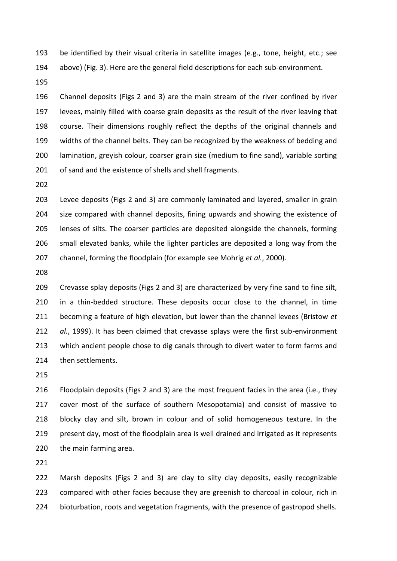be identified by their visual criteria in satellite images (e.g., tone, height, etc.; see above) (Fig. 3). Here are the general field descriptions for each sub-environment.

 Channel deposits (Figs 2 and 3) are the main stream of the river confined by river levees, mainly filled with coarse grain deposits as the result of the river leaving that course. Their dimensions roughly reflect the depths of the original channels and widths of the channel belts. They can be recognized by the weakness of bedding and lamination, greyish colour, coarser grain size (medium to fine sand), variable sorting of sand and the existence of shells and shell fragments.

 Levee deposits (Figs 2 and 3) are commonly laminated and layered, smaller in grain size compared with channel deposits, fining upwards and showing the existence of lenses of silts. The coarser particles are deposited alongside the channels, forming small elevated banks, while the lighter particles are deposited a long way from the channel, forming the floodplain (for example see Mohrig *et al.*, 2000).

 Crevasse splay deposits (Figs 2 and 3) are characterized by very fine sand to fine silt, in a thin-bedded structure. These deposits occur close to the channel, in time becoming a feature of high elevation, but lower than the channel levees (Bristow *et al.*, 1999). It has been claimed that crevasse splays were the first sub-environment which ancient people chose to dig canals through to divert water to form farms and then settlements.

 Floodplain deposits (Figs 2 and 3) are the most frequent facies in the area (i.e., they cover most of the surface of southern Mesopotamia) and consist of massive to blocky clay and silt, brown in colour and of solid homogeneous texture. In the present day, most of the floodplain area is well drained and irrigated as it represents the main farming area.

 Marsh deposits (Figs 2 and 3) are clay to silty clay deposits, easily recognizable compared with other facies because they are greenish to charcoal in colour, rich in bioturbation, roots and vegetation fragments, with the presence of gastropod shells.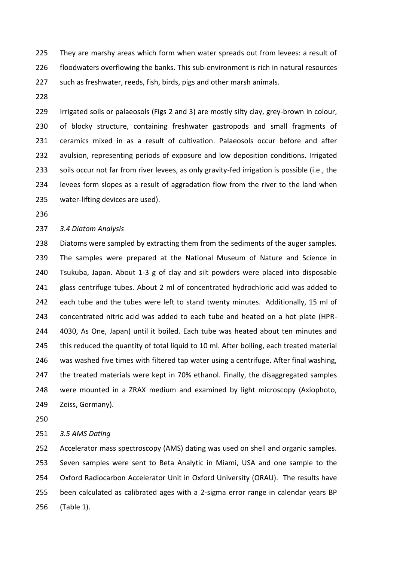They are marshy areas which form when water spreads out from levees: a result of floodwaters overflowing the banks. This sub-environment is rich in natural resources such as freshwater, reeds, fish, birds, pigs and other marsh animals.

 Irrigated soils or palaeosols (Figs 2 and 3) are mostly silty clay, grey-brown in colour, of blocky structure, containing freshwater gastropods and small fragments of ceramics mixed in as a result of cultivation. Palaeosols occur before and after avulsion, representing periods of exposure and low deposition conditions. Irrigated soils occur not far from river levees, as only gravity-fed irrigation is possible (i.e., the levees form slopes as a result of aggradation flow from the river to the land when water-lifting devices are used).

#### *3.4 Diatom Analysis*

 Diatoms were sampled by extracting them from the sediments of the auger samples. The samples were prepared at the National Museum of Nature and Science in Tsukuba, Japan. About 1-3 g of clay and silt powders were placed into disposable glass centrifuge tubes. About 2 ml of concentrated hydrochloric acid was added to each tube and the tubes were left to stand twenty minutes. Additionally, 15 ml of concentrated nitric acid was added to each tube and heated on a hot plate (HPR- 4030, As One, Japan) until it boiled. Each tube was heated about ten minutes and 245 this reduced the quantity of total liquid to 10 ml. After boiling, each treated material was washed five times with filtered tap water using a centrifuge. After final washing, 247 the treated materials were kept in 70% ethanol. Finally, the disaggregated samples were mounted in a ZRAX medium and examined by light microscopy (Axiophoto, Zeiss, Germany).

#### *3.5 AMS Dating*

 Accelerator mass spectroscopy (AMS) dating was used on shell and organic samples. Seven samples were sent to Beta Analytic in Miami, USA and one sample to the Oxford Radiocarbon Accelerator Unit in Oxford University (ORAU). The results have been calculated as calibrated ages with a 2-sigma error range in calendar years BP (Table 1).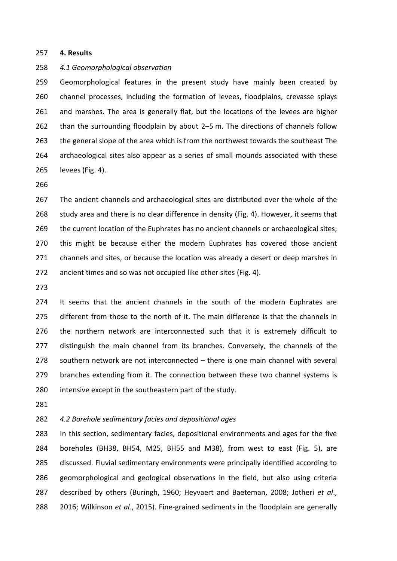#### **4. Results**

#### *4.1 Geomorphological observation*

 Geomorphological features in the present study have mainly been created by channel processes, including the formation of levees, floodplains, crevasse splays 261 and marshes. The area is generally flat, but the locations of the levees are higher than the surrounding floodplain by about 2–5 m. The directions of channels follow 263 the general slope of the area which is from the northwest towards the southeast The archaeological sites also appear as a series of small mounds associated with these levees (Fig. 4).

 The ancient channels and archaeological sites are distributed over the whole of the 268 study area and there is no clear difference in density (Fig. 4). However, it seems that the current location of the Euphrates has no ancient channels or archaeological sites; this might be because either the modern Euphrates has covered those ancient 271 channels and sites, or because the location was already a desert or deep marshes in ancient times and so was not occupied like other sites (Fig. 4).

 It seems that the ancient channels in the south of the modern Euphrates are different from those to the north of it. The main difference is that the channels in the northern network are interconnected such that it is extremely difficult to 277 distinguish the main channel from its branches. Conversely, the channels of the southern network are not interconnected – there is one main channel with several 279 branches extending from it. The connection between these two channel systems is intensive except in the southeastern part of the study.

# *4.2 Borehole sedimentary facies and depositional ages*

 In this section, sedimentary facies, depositional environments and ages for the five boreholes (BH38, BH54, M25, BH55 and M38), from west to east (Fig. 5), are discussed. Fluvial sedimentary environments were principally identified according to geomorphological and geological observations in the field, but also using criteria described by others (Buringh, 1960; Heyvaert and Baeteman, 2008; Jotheri *et al*., 2016; Wilkinson *et al*., 2015). Fine-grained sediments in the floodplain are generally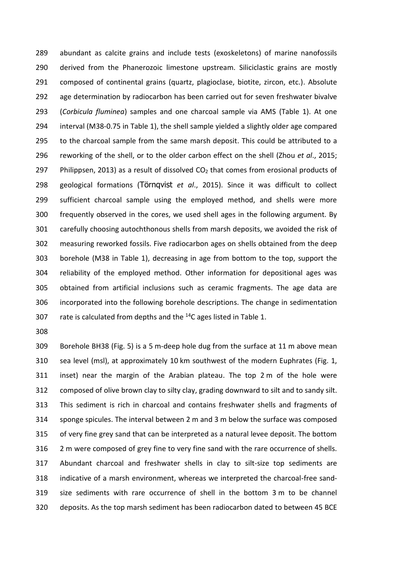abundant as calcite grains and include tests (exoskeletons) of marine nanofossils derived from the Phanerozoic limestone upstream. Siliciclastic grains are mostly composed of continental grains (quartz, plagioclase, biotite, zircon, etc.). Absolute age determination by radiocarbon has been carried out for seven freshwater bivalve (*Corbicula fluminea*) samples and one charcoal sample via AMS (Table 1). At one interval (M38-0.75 in Table 1), the shell sample yielded a slightly older age compared to the charcoal sample from the same marsh deposit. This could be attributed to a reworking of the shell, or to the older carbon effect on the shell (Zhou *et al*., 2015; 297 Philippsen, 2013) as a result of dissolved  $CO<sub>2</sub>$  that comes from erosional products of geological formations (Törnqvist *et al*., 2015). Since it was difficult to collect sufficient charcoal sample using the employed method, and shells were more frequently observed in the cores, we used shell ages in the following argument. By carefully choosing autochthonous shells from marsh deposits, we avoided the risk of measuring reworked fossils. Five radiocarbon ages on shells obtained from the deep borehole (M38 in Table 1), decreasing in age from bottom to the top, support the reliability of the employed method. Other information for depositional ages was obtained from artificial inclusions such as ceramic fragments. The age data are incorporated into the following borehole descriptions. The change in sedimentation 307 rate is calculated from depths and the  $14C$  ages listed in Table 1.

 Borehole BH38 (Fig. 5) is a 5 m-deep hole dug from the surface at 11 m above mean sea level (msl), at approximately 10 km southwest of the modern Euphrates (Fig. 1, inset) near the margin of the Arabian plateau. The top 2 m of the hole were composed of olive brown clay to silty clay, grading downward to silt and to sandy silt. This sediment is rich in charcoal and contains freshwater shells and fragments of sponge spicules. The interval between 2 m and 3 m below the surface was composed of very fine grey sand that can be interpreted as a natural levee deposit. The bottom 2 m were composed of grey fine to very fine sand with the rare occurrence of shells. Abundant charcoal and freshwater shells in clay to silt-size top sediments are indicative of a marsh environment, whereas we interpreted the charcoal-free sand- size sediments with rare occurrence of shell in the bottom 3 m to be channel deposits. As the top marsh sediment has been radiocarbon dated to between 45 BCE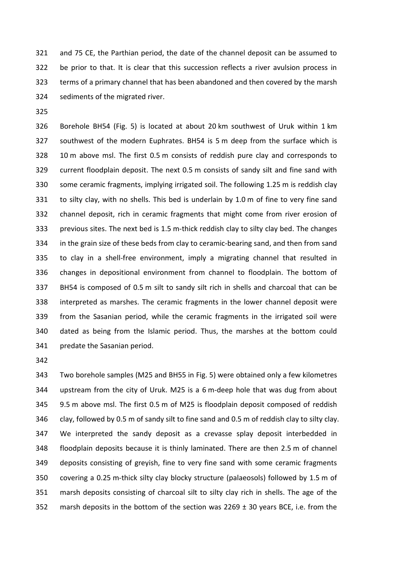and 75 CE, the Parthian period, the date of the channel deposit can be assumed to be prior to that. It is clear that this succession reflects a river avulsion process in terms of a primary channel that has been abandoned and then covered by the marsh sediments of the migrated river.

 Borehole BH54 (Fig. 5) is located at about 20 km southwest of Uruk within 1 km southwest of the modern Euphrates. BH54 is 5 m deep from the surface which is 10 m above msl. The first 0.5 m consists of reddish pure clay and corresponds to current floodplain deposit. The next 0.5 m consists of sandy silt and fine sand with some ceramic fragments, implying irrigated soil. The following 1.25 m is reddish clay to silty clay, with no shells. This bed is underlain by 1.0 m of fine to very fine sand channel deposit, rich in ceramic fragments that might come from river erosion of previous sites. The next bed is 1.5 m-thick reddish clay to silty clay bed. The changes in the grain size of these beds from clay to ceramic-bearing sand, and then from sand to clay in a shell-free environment, imply a migrating channel that resulted in changes in depositional environment from channel to floodplain. The bottom of BH54 is composed of 0.5 m silt to sandy silt rich in shells and charcoal that can be interpreted as marshes. The ceramic fragments in the lower channel deposit were from the Sasanian period, while the ceramic fragments in the irrigated soil were dated as being from the Islamic period. Thus, the marshes at the bottom could predate the Sasanian period.

 Two borehole samples (M25 and BH55 in Fig. 5) were obtained only a few kilometres upstream from the city of Uruk. M25 is a 6 m-deep hole that was dug from about 9.5 m above msl. The first 0.5 m of M25 is floodplain deposit composed of reddish clay, followed by 0.5 m of sandy silt to fine sand and 0.5 m of reddish clay to silty clay. We interpreted the sandy deposit as a crevasse splay deposit interbedded in floodplain deposits because it is thinly laminated. There are then 2.5 m of channel deposits consisting of greyish, fine to very fine sand with some ceramic fragments covering a 0.25 m-thick silty clay blocky structure (palaeosols) followed by 1.5 m of marsh deposits consisting of charcoal silt to silty clay rich in shells. The age of the 352 marsh deposits in the bottom of the section was 2269  $\pm$  30 years BCE, i.e. from the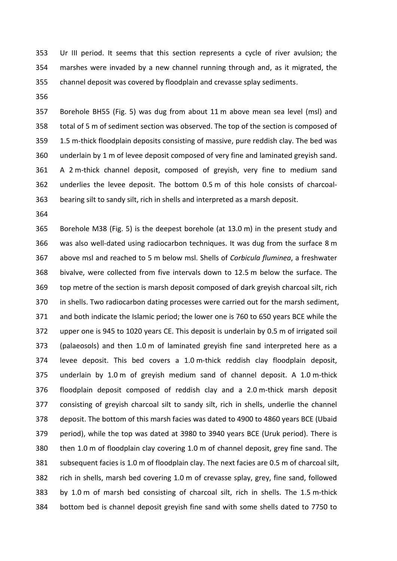Ur III period. It seems that this section represents a cycle of river avulsion; the marshes were invaded by a new channel running through and, as it migrated, the channel deposit was covered by floodplain and crevasse splay sediments.

 Borehole BH55 (Fig. 5) was dug from about 11 m above mean sea level (msl) and total of 5 m of sediment section was observed. The top of the section is composed of 1.5 m-thick floodplain deposits consisting of massive, pure reddish clay. The bed was underlain by 1 m of levee deposit composed of very fine and laminated greyish sand. A 2 m-thick channel deposit, composed of greyish, very fine to medium sand underlies the levee deposit. The bottom 0.5 m of this hole consists of charcoal-bearing silt to sandy silt, rich in shells and interpreted as a marsh deposit.

 Borehole M38 (Fig. 5) is the deepest borehole (at 13.0 m) in the present study and was also well-dated using radiocarbon techniques. It was dug from the surface 8 m above msl and reached to 5 m below msl. Shells of *Corbicula fluminea*, a freshwater bivalve, were collected from five intervals down to 12.5 m below the surface. The top metre of the section is marsh deposit composed of dark greyish charcoal silt, rich in shells. Two radiocarbon dating processes were carried out for the marsh sediment, and both indicate the Islamic period; the lower one is 760 to 650 years BCE while the upper one is 945 to 1020 years CE. This deposit is underlain by 0.5 m of irrigated soil (palaeosols) and then 1.0 m of laminated greyish fine sand interpreted here as a levee deposit. This bed covers a 1.0 m-thick reddish clay floodplain deposit, underlain by 1.0 m of greyish medium sand of channel deposit. A 1.0 m-thick floodplain deposit composed of reddish clay and a 2.0 m-thick marsh deposit consisting of greyish charcoal silt to sandy silt, rich in shells, underlie the channel deposit. The bottom of this marsh facies was dated to 4900 to 4860 years BCE (Ubaid period), while the top was dated at 3980 to 3940 years BCE (Uruk period). There is then 1.0 m of floodplain clay covering 1.0 m of channel deposit, grey fine sand. The subsequent facies is 1.0 m of floodplain clay. The next facies are 0.5 m of charcoal silt, rich in shells, marsh bed covering 1.0 m of crevasse splay, grey, fine sand, followed by 1.0 m of marsh bed consisting of charcoal silt, rich in shells. The 1.5 m-thick bottom bed is channel deposit greyish fine sand with some shells dated to 7750 to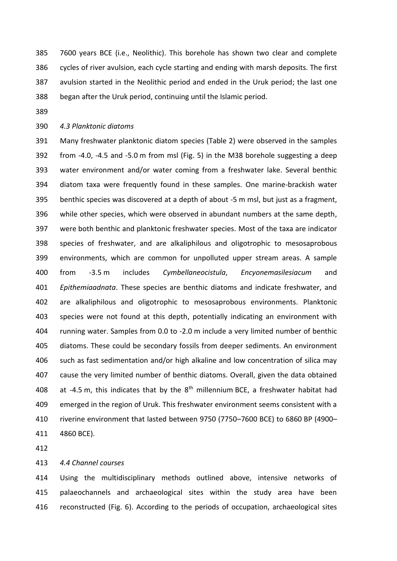7600 years BCE (i.e., Neolithic). This borehole has shown two clear and complete cycles of river avulsion, each cycle starting and ending with marsh deposits. The first avulsion started in the Neolithic period and ended in the Uruk period; the last one began after the Uruk period, continuing until the Islamic period.

# *4.3 Planktonic diatoms*

 Many freshwater planktonic diatom species (Table 2) were observed in the samples from -4.0, -4.5 and -5.0 m from msl (Fig. 5) in the M38 borehole suggesting a deep water environment and/or water coming from a freshwater lake. Several benthic diatom taxa were frequently found in these samples. One marine-brackish water benthic species was discovered at a depth of about -5 m msl, but just as a fragment, while other species, which were observed in abundant numbers at the same depth, were both benthic and planktonic freshwater species. Most of the taxa are indicator species of freshwater, and are alkaliphilous and oligotrophic to mesosaprobous environments, which are common for unpolluted upper stream areas. A sample from -3.5 m includes *Cymbellaneocistula*, *Encyonemasilesiacum* and *Epithemiaadnata*. These species are benthic diatoms and indicate freshwater, and are alkaliphilous and oligotrophic to mesosaprobous environments. Planktonic species were not found at this depth, potentially indicating an environment with running water. Samples from 0.0 to -2.0 m include a very limited number of benthic diatoms. These could be secondary fossils from deeper sediments. An environment such as fast sedimentation and/or high alkaline and low concentration of silica may cause the very limited number of benthic diatoms. Overall, given the data obtained 408 at -4.5 m, this indicates that by the  $8<sup>th</sup>$  millennium BCE, a freshwater habitat had emerged in the region of Uruk. This freshwater environment seems consistent with a riverine environment that lasted between 9750 (7750–7600 BCE) to 6860 BP (4900– 4860 BCE).

## *4.4 Channel courses*

 Using the multidisciplinary methods outlined above, intensive networks of palaeochannels and archaeological sites within the study area have been reconstructed (Fig. 6). According to the periods of occupation, archaeological sites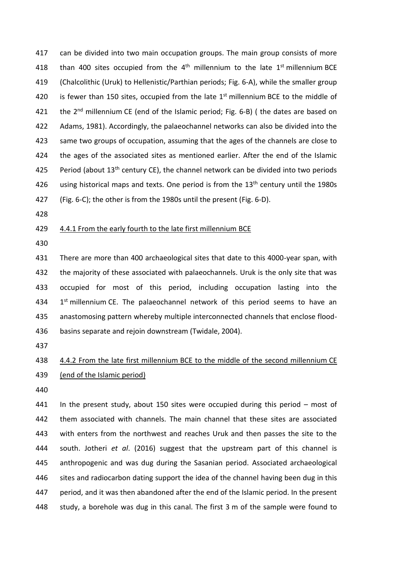can be divided into two main occupation groups. The main group consists of more 418 than 400 sites occupied from the  $4<sup>th</sup>$  millennium to the late  $1<sup>st</sup>$  millennium BCE (Chalcolithic (Uruk) to Hellenistic/Parthian periods; Fig. 6-A), while the smaller group 420 is fewer than 150 sites, occupied from the late  $1<sup>st</sup>$  millennium BCE to the middle of 421 the  $2<sup>nd</sup>$  millennium CE (end of the Islamic period; Fig. 6-B) ( the dates are based on Adams, 1981). Accordingly, the palaeochannel networks can also be divided into the same two groups of occupation, assuming that the ages of the channels are close to the ages of the associated sites as mentioned earlier. After the end of the Islamic 425 Period (about  $13<sup>th</sup>$  century CE), the channel network can be divided into two periods 426 using historical maps and texts. One period is from the  $13<sup>th</sup>$  century until the 1980s (Fig. 6-C); the other is from the 1980s until the present (Fig. 6-D).

# 429 4.4.1 From the early fourth to the late first millennium BCE

 There are more than 400 archaeological sites that date to this 4000-year span, with the majority of these associated with palaeochannels. Uruk is the only site that was occupied for most of this period, including occupation lasting into the  $1<sup>st</sup>$  millennium CE. The palaeochannel network of this period seems to have an anastomosing pattern whereby multiple interconnected channels that enclose flood-basins separate and rejoin downstream (Twidale, 2004).

# 4.4.2 From the late first millennium BCE to the middle of the second millennium CE (end of the Islamic period)

 In the present study, about 150 sites were occupied during this period – most of them associated with channels. The main channel that these sites are associated with enters from the northwest and reaches Uruk and then passes the site to the south. Jotheri *et al*. (2016) suggest that the upstream part of this channel is anthropogenic and was dug during the Sasanian period. Associated archaeological sites and radiocarbon dating support the idea of the channel having been dug in this period, and it was then abandoned after the end of the Islamic period. In the present study, a borehole was dug in this canal. The first 3 m of the sample were found to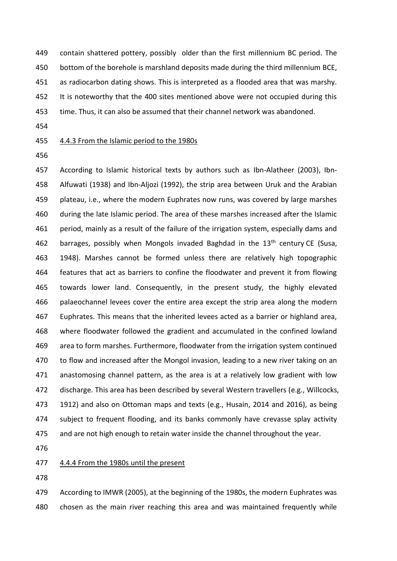contain shattered pottery, possibly older than the first millennium BC period. The bottom of the borehole is marshland deposits made during the third millennium BCE, as radiocarbon dating shows. This is interpreted as a flooded area that was marshy. It is noteworthy that the 400 sites mentioned above were not occupied during this time. Thus, it can also be assumed that their channel network was abandoned.

# 4.4.3 From the Islamic period to the 1980s

 According to Islamic historical texts by authors such as Ibn-Alatheer (2003), Ibn- Alfuwati (1938) and Ibn-Aljozi (1992), the strip area between Uruk and the Arabian plateau, i.e., where the modern Euphrates now runs, was covered by large marshes during the late Islamic period. The area of these marshes increased after the Islamic period, mainly as a result of the failure of the irrigation system, especially dams and 462 barrages, possibly when Mongols invaded Baghdad in the  $13<sup>th</sup>$  century CE (Susa, 1948). Marshes cannot be formed unless there are relatively high topographic 464 features that act as barriers to confine the floodwater and prevent it from flowing towards lower land. Consequently, in the present study, the highly elevated palaeochannel levees cover the entire area except the strip area along the modern Euphrates. This means that the inherited levees acted as a barrier or highland area, where floodwater followed the gradient and accumulated in the confined lowland area to form marshes. Furthermore, floodwater from the irrigation system continued 470 to flow and increased after the Mongol invasion, leading to a new river taking on an anastomosing channel pattern, as the area is at a relatively low gradient with low discharge. This area has been described by several Western travellers (e.g., Willcocks, 1912) and also on Ottoman maps and texts (e.g., Husain, 2014 and 2016), as being subject to frequent flooding, and its banks commonly have crevasse splay activity and are not high enough to retain water inside the channel throughout the year.

## 4.4.4 From the 1980s until the present

 According to IMWR (2005), at the beginning of the 1980s, the modern Euphrates was chosen as the main river reaching this area and was maintained frequently while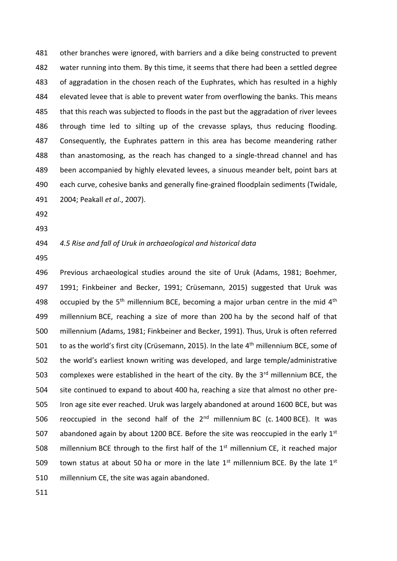other branches were ignored, with barriers and a dike being constructed to prevent water running into them. By this time, it seems that there had been a settled degree of aggradation in the chosen reach of the Euphrates, which has resulted in a highly 484 elevated levee that is able to prevent water from overflowing the banks. This means that this reach was subjected to floods in the past but the aggradation of river levees through time led to silting up of the crevasse splays, thus reducing flooding. Consequently, the Euphrates pattern in this area has become meandering rather than anastomosing, as the reach has changed to a single-thread channel and has been accompanied by highly elevated levees, a sinuous meander belt, point bars at each curve, cohesive banks and generally fine-grained floodplain sediments (Twidale, 2004; Peakall *et al*., 2007).

- 
- 

# *4.5 Rise and fall of Uruk in archaeological and historical data*

 Previous archaeological studies around the site of Uruk (Adams, 1981; Boehmer, 1991; Finkbeiner and Becker, 1991; Crüsemann, 2015) suggested that Uruk was 498 occupied by the  $5<sup>th</sup>$  millennium BCE, becoming a major urban centre in the mid  $4<sup>th</sup>$  millennium BCE, reaching a size of more than 200 ha by the second half of that millennium (Adams, 1981; Finkbeiner and Becker, 1991). Thus, Uruk is often referred 501 to as the world's first city (Crüsemann, 2015). In the late  $4<sup>th</sup>$  millennium BCE, some of the world's earliest known writing was developed, and large temple/administrative 503 complexes were established in the heart of the city. By the  $3<sup>rd</sup>$  millennium BCE, the site continued to expand to about 400 ha, reaching a size that almost no other pre- Iron age site ever reached. Uruk was largely abandoned at around 1600 BCE, but was 506 reoccupied in the second half of the  $2<sup>nd</sup>$  millennium BC (c. 1400 BCE). It was 507 abandoned again by about 1200 BCE. Before the site was reoccupied in the early  $1<sup>st</sup>$ 508 millennium BCE through to the first half of the  $1<sup>st</sup>$  millennium CE, it reached major 509 town status at about 50 ha or more in the late  $1<sup>st</sup>$  millennium BCE. By the late  $1<sup>st</sup>$ millennium CE, the site was again abandoned.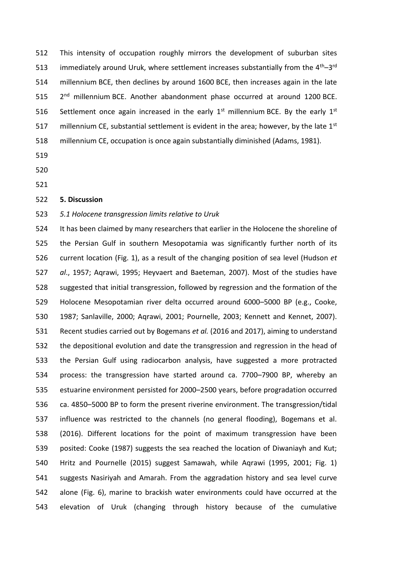This intensity of occupation roughly mirrors the development of suburban sites 513 immediately around Uruk, where settlement increases substantially from the  $4<sup>th</sup>-3<sup>rd</sup>$  millennium BCE, then declines by around 1600 BCE, then increases again in the late  $2<sup>nd</sup>$  millennium BCE. Another abandonment phase occurred at around 1200 BCE. 516 Settlement once again increased in the early  $1<sup>st</sup>$  millennium BCE. By the early  $1<sup>st</sup>$ 517 millennium CE, substantial settlement is evident in the area; however, by the late  $1<sup>st</sup>$ millennium CE, occupation is once again substantially diminished (Adams, 1981).

- 
- 
- 

## **5. Discussion**

## *5.1 Holocene transgression limits relative to Uruk*

 It has been claimed by many researchers that earlier in the Holocene the shoreline of the Persian Gulf in southern Mesopotamia was significantly further north of its current location (Fig. 1), as a result of the changing position of sea level (Hudson *et al*., 1957; Aqrawi, 1995; Heyvaert and Baeteman, 2007). Most of the studies have suggested that initial transgression, followed by regression and the formation of the Holocene Mesopotamian river delta occurred around 6000–5000 BP (e.g., Cooke, 1987; Sanlaville, 2000; Aqrawi, 2001; Pournelle, 2003; Kennett and Kennet, 2007). Recent studies carried out by Bogemans *et al.* (2016 and 2017), aiming to understand the depositional evolution and date the transgression and regression in the head of the Persian Gulf using radiocarbon analysis, have suggested a more protracted process: the transgression have started around ca. 7700–7900 BP, whereby an estuarine environment persisted for 2000–2500 years, before progradation occurred ca. 4850–5000 BP to form the present riverine environment. The transgression/tidal influence was restricted to the channels (no general flooding), Bogemans et al. (2016). Different locations for the point of maximum transgression have been posited: Cooke (1987) suggests the sea reached the location of Diwaniayh and Kut; Hritz and Pournelle (2015) suggest Samawah, while Aqrawi (1995, 2001; Fig. 1) suggests Nasiriyah and Amarah. From the aggradation history and sea level curve alone (Fig. 6), marine to brackish water environments could have occurred at the elevation of Uruk (changing through history because of the cumulative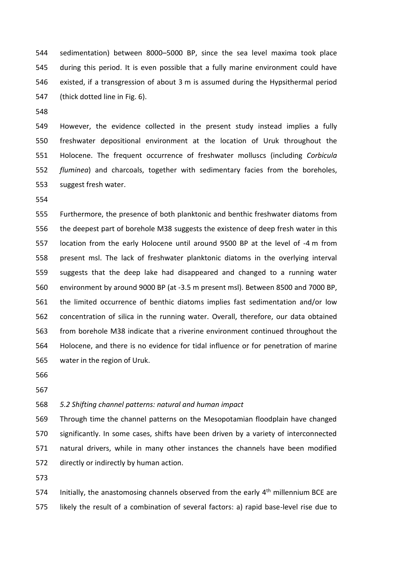sedimentation) between 8000–5000 BP, since the sea level maxima took place during this period. It is even possible that a fully marine environment could have existed, if a transgression of about 3 m is assumed during the Hypsithermal period (thick dotted line in Fig. 6).

 However, the evidence collected in the present study instead implies a fully freshwater depositional environment at the location of Uruk throughout the Holocene. The frequent occurrence of freshwater molluscs (including *Corbicula fluminea*) and charcoals, together with sedimentary facies from the boreholes, suggest fresh water.

 Furthermore, the presence of both planktonic and benthic freshwater diatoms from the deepest part of borehole M38 suggests the existence of deep fresh water in this location from the early Holocene until around 9500 BP at the level of -4 m from present msl. The lack of freshwater planktonic diatoms in the overlying interval suggests that the deep lake had disappeared and changed to a running water environment by around 9000 BP (at -3.5 m present msl). Between 8500 and 7000 BP, the limited occurrence of benthic diatoms implies fast sedimentation and/or low concentration of silica in the running water. Overall, therefore, our data obtained from borehole M38 indicate that a riverine environment continued throughout the Holocene, and there is no evidence for tidal influence or for penetration of marine water in the region of Uruk.

- 
- 

# *5.2 Shifting channel patterns: natural and human impact*

 Through time the channel patterns on the Mesopotamian floodplain have changed significantly. In some cases, shifts have been driven by a variety of interconnected natural drivers, while in many other instances the channels have been modified directly or indirectly by human action.

574 Initially, the anastomosing channels observed from the early  $4<sup>th</sup>$  millennium BCE are likely the result of a combination of several factors: a) rapid base-level rise due to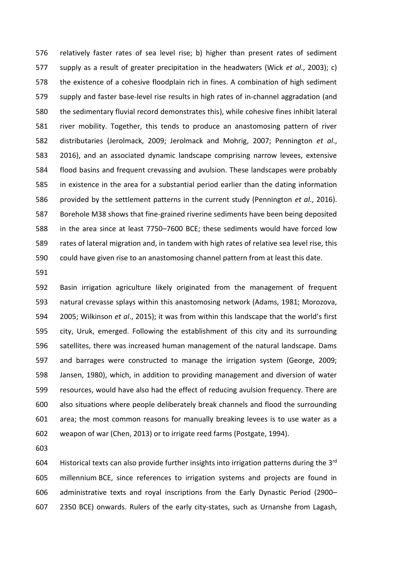relatively faster rates of sea level rise; b) higher than present rates of sediment supply as a result of greater precipitation in the headwaters (Wick *et al*., 2003); c) the existence of a cohesive floodplain rich in fines. A combination of high sediment supply and faster base-level rise results in high rates of in-channel aggradation (and the sedimentary fluvial record demonstrates this), while cohesive fines inhibit lateral river mobility. Together, this tends to produce an anastomosing pattern of river distributaries (Jerolmack, 2009; Jerolmack and Mohrig, 2007; Pennington *et al*., 2016), and an associated dynamic landscape comprising narrow levees, extensive flood basins and frequent crevassing and avulsion. These landscapes were probably in existence in the area for a substantial period earlier than the dating information provided by the settlement patterns in the current study (Pennington *et al*., 2016). Borehole M38 shows that fine-grained riverine sediments have been being deposited in the area since at least 7750–7600 BCE; these sediments would have forced low rates of lateral migration and, in tandem with high rates of relative sea level rise, this could have given rise to an anastomosing channel pattern from at least this date.

 Basin irrigation agriculture likely originated from the management of frequent natural crevasse splays within this anastomosing network (Adams, 1981; Morozova, 2005; Wilkinson *et al*., 2015); it was from within this landscape that the world's first city, Uruk, emerged. Following the establishment of this city and its surrounding satellites, there was increased human management of the natural landscape. Dams and barrages were constructed to manage the irrigation system (George, 2009; Jansen, 1980), which, in addition to providing management and diversion of water resources, would have also had the effect of reducing avulsion frequency. There are also situations where people deliberately break channels and flood the surrounding area; the most common reasons for manually breaking levees is to use water as a weapon of war (Chen, 2013) or to irrigate reed farms (Postgate, 1994).

604 Historical texts can also provide further insights into irrigation patterns during the  $3<sup>rd</sup>$  millennium BCE, since references to irrigation systems and projects are found in administrative texts and royal inscriptions from the Early Dynastic Period (2900– 2350 BCE) onwards. Rulers of the early city-states, such as Urnanshe from Lagash,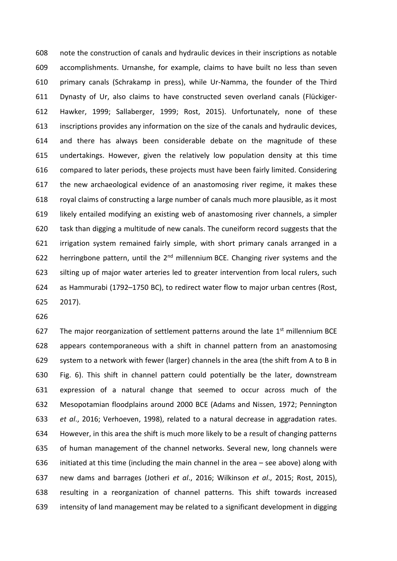note the construction of canals and hydraulic devices in their inscriptions as notable accomplishments. Urnanshe, for example, claims to have built no less than seven primary canals (Schrakamp in press), while Ur-Namma, the founder of the Third Dynasty of Ur, also claims to have constructed seven overland canals (Flückiger- Hawker, 1999; Sallaberger, 1999; Rost, 2015). Unfortunately, none of these inscriptions provides any information on the size of the canals and hydraulic devices, and there has always been considerable debate on the magnitude of these undertakings. However, given the relatively low population density at this time compared to later periods, these projects must have been fairly limited. Considering the new archaeological evidence of an anastomosing river regime, it makes these royal claims of constructing a large number of canals much more plausible, as it most likely entailed modifying an existing web of anastomosing river channels, a simpler task than digging a multitude of new canals. The cuneiform record suggests that the irrigation system remained fairly simple, with short primary canals arranged in a 622 herringbone pattern, until the  $2<sup>nd</sup>$  millennium BCE. Changing river systems and the silting up of major water arteries led to greater intervention from local rulers, such as Hammurabi (1792–1750 BC), to redirect water flow to major urban centres (Rost, 2017).

627 The major reorganization of settlement patterns around the late  $1<sup>st</sup>$  millennium BCE appears contemporaneous with a shift in channel pattern from an anastomosing system to a network with fewer (larger) channels in the area (the shift from A to B in Fig. 6). This shift in channel pattern could potentially be the later, downstream expression of a natural change that seemed to occur across much of the Mesopotamian floodplains around 2000 BCE (Adams and Nissen, 1972; Pennington *et al*., 2016; Verhoeven, 1998), related to a natural decrease in aggradation rates. However, in this area the shift is much more likely to be a result of changing patterns of human management of the channel networks. Several new, long channels were initiated at this time (including the main channel in the area – see above) along with new dams and barrages (Jotheri *et al*., 2016; Wilkinson *et al*., 2015; Rost, 2015), resulting in a reorganization of channel patterns. This shift towards increased intensity of land management may be related to a significant development in digging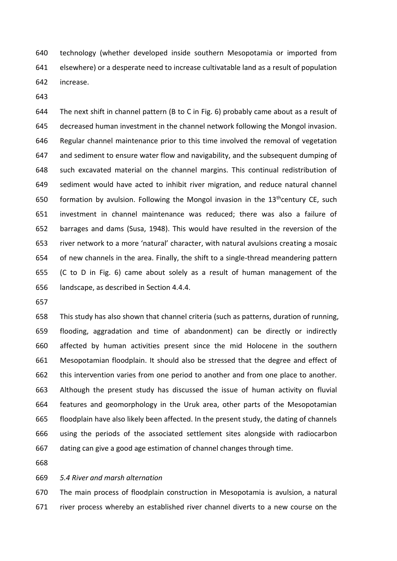technology (whether developed inside southern Mesopotamia or imported from elsewhere) or a desperate need to increase cultivatable land as a result of population increase.

 The next shift in channel pattern (B to C in Fig. 6) probably came about as a result of decreased human investment in the channel network following the Mongol invasion. Regular channel maintenance prior to this time involved the removal of vegetation and sediment to ensure water flow and navigability, and the subsequent dumping of such excavated material on the channel margins. This continual redistribution of sediment would have acted to inhibit river migration, and reduce natural channel 650 formation by avulsion. Following the Mongol invasion in the  $13<sup>th</sup>$ century CE, such investment in channel maintenance was reduced; there was also a failure of barrages and dams (Susa, 1948). This would have resulted in the reversion of the river network to a more 'natural' character, with natural avulsions creating a mosaic of new channels in the area. Finally, the shift to a single-thread meandering pattern (C to D in Fig. 6) came about solely as a result of human management of the landscape, as described in Section 4.4.4.

 This study has also shown that channel criteria (such as patterns, duration of running, flooding, aggradation and time of abandonment) can be directly or indirectly affected by human activities present since the mid Holocene in the southern Mesopotamian floodplain. It should also be stressed that the degree and effect of this intervention varies from one period to another and from one place to another. Although the present study has discussed the issue of human activity on fluvial features and geomorphology in the Uruk area, other parts of the Mesopotamian floodplain have also likely been affected. In the present study, the dating of channels using the periods of the associated settlement sites alongside with radiocarbon dating can give a good age estimation of channel changes through time.

## *5.4 River and marsh alternation*

 The main process of floodplain construction in Mesopotamia is avulsion, a natural river process whereby an established river channel diverts to a new course on the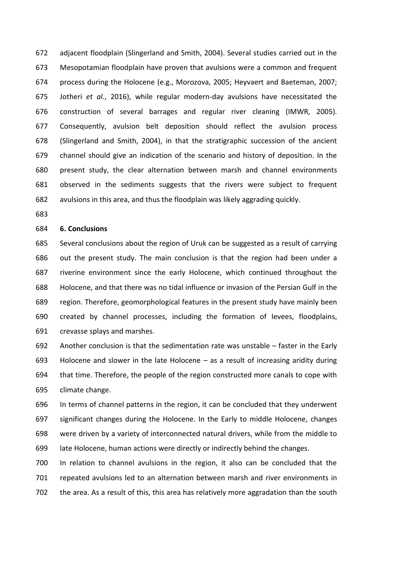adjacent floodplain (Slingerland and Smith, 2004). Several studies carried out in the Mesopotamian floodplain have proven that avulsions were a common and frequent process during the Holocene (e.g., Morozova, 2005; Heyvaert and Baeteman, 2007; Jotheri *et al.*, 2016), while regular modern-day avulsions have necessitated the construction of several barrages and regular river cleaning (IMWR, 2005). Consequently, avulsion belt deposition should reflect the avulsion process (Slingerland and Smith, 2004), in that the stratigraphic succession of the ancient channel should give an indication of the scenario and history of deposition. In the present study, the clear alternation between marsh and channel environments observed in the sediments suggests that the rivers were subject to frequent avulsions in this area, and thus the floodplain was likely aggrading quickly.

## **6. Conclusions**

 Several conclusions about the region of Uruk can be suggested as a result of carrying out the present study. The main conclusion is that the region had been under a riverine environment since the early Holocene, which continued throughout the Holocene, and that there was no tidal influence or invasion of the Persian Gulf in the region. Therefore, geomorphological features in the present study have mainly been created by channel processes, including the formation of levees, floodplains, crevasse splays and marshes.

 Another conclusion is that the sedimentation rate was unstable – faster in the Early Holocene and slower in the late Holocene – as a result of increasing aridity during that time. Therefore, the people of the region constructed more canals to cope with climate change.

 In terms of channel patterns in the region, it can be concluded that they underwent significant changes during the Holocene. In the Early to middle Holocene, changes were driven by a variety of interconnected natural drivers, while from the middle to late Holocene, human actions were directly or indirectly behind the changes.

 In relation to channel avulsions in the region, it also can be concluded that the repeated avulsions led to an alternation between marsh and river environments in the area. As a result of this, this area has relatively more aggradation than the south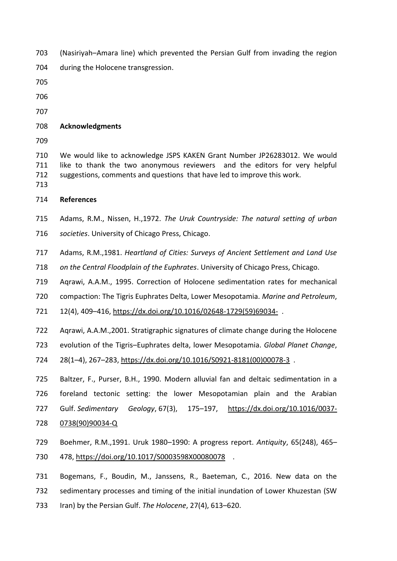- (Nasiriyah–Amara line) which prevented the Persian Gulf from invading the region
- during the Holocene transgression.
- 
- 
- 

# **Acknowledgments**

 We would like to acknowledge JSPS KAKEN Grant Number JP26283012. We would like to thank the two anonymous reviewers and the editors for very helpful suggestions, comments and questions that have led to improve this work.

- 
- **References**
- Adams, R.M., Nissen, H.,1972. *The Uruk Countryside: The natural setting of urban societies*. University of Chicago Press, Chicago.
- Adams, R.M.,1981. *Heartland of Cities: Surveys of Ancient Settlement and Land Use*
- *on the Central Floodplain of the Euphrates*. University of Chicago Press, Chicago.

Aqrawi, A.A.M., 1995. Correction of Holocene sedimentation rates for mechanical

compaction: The Tigris Euphrates Delta, Lower Mesopotamia. *Marine and Petroleum*,

12(4), 409–416, [https://dx.doi.org/10.1016/02648-1729\(59\)69034-](https://dx.doi.org/10.1016/02648-1729(59)69034-) .

Aqrawi, A.A.M.,2001. Stratigraphic signatures of climate change during the Holocene

evolution of the Tigris–Euphrates delta, lower Mesopotamia. *Global Planet Change*,

- 28(1–4), 267–283, [https://dx.doi.org/10.1016/S0921-8181\(00\)00078-3](https://dx.doi.org/10.1016/S0921-8181(00)00078-3) .
- Baltzer, F., Purser, B.H., 1990. Modern alluvial fan and deltaic sedimentation in a foreland tectonic setting: the lower Mesopotamian plain and the Arabian Gulf. *Sedimentary Geology*, 67(3), 175–197, [https://dx.doi.org/10.1016/0037-](https://dx.doi.org/10.1016/0037-0738(90)90034-Q) [0738\(90\)90034-Q](https://dx.doi.org/10.1016/0037-0738(90)90034-Q)
- Boehmer, R.M.,1991. Uruk 1980–1990: A progress report. *Antiquity*, 65(248), 465– 478,<https://doi.org/10.1017/S0003598X00080078>.
- Bogemans, F., Boudin, M., Janssens, R., Baeteman, C., 2016. New data on the sedimentary processes and timing of the initial inundation of Lower Khuzestan (SW Iran) by the Persian Gulf. *The Holocene*, 27(4), 613–620.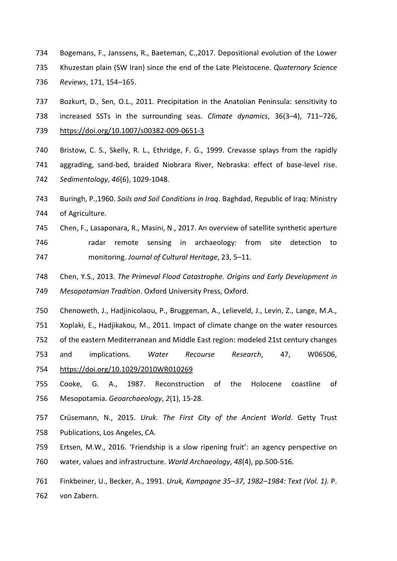- Bogemans, F., Janssens, R., Baeteman, C.,2017. Depositional evolution of the Lower Khuzestan plain (SW Iran) since the end of the Late Pleistocene. *Quaternary Science Reviews*, 171, 154–165.
- Bozkurt, D., Sen, O.L., 2011. Precipitation in the Anatolian Peninsula: sensitivity to increased SSTs in the surrounding seas. *Climate dynamics*, 36(3–4), 711–726, <https://doi.org/10.1007/s00382-009-0651-3>
- Bristow, C. S., Skelly, R. L., Ethridge, F. G., 1999. Crevasse splays from the rapidly aggrading, sand-bed, braided Niobrara River, Nebraska: effect of base-level rise. *Sedimentology*, *46*(6), 1029-1048.
- Buringh, P.,1960. *Soils and Soil Conditions in Iraq*. Baghdad, Republic of Iraq: Ministry of Agriculture.
- Chen, F., Lasaponara, R., Masini, N., 2017. An overview of satellite synthetic aperture 746 radar remote sensing in archaeology: from site detection to monitoring. *Journal of Cultural Heritage*, 23, 5–11.
- Chen, Y.S., 2013. *The Primeval Flood Catastrophe. Origins and Early Development in Mesopotamian Tradition*. Oxford University Press, Oxford.
- Chenoweth, J., Hadjinicolaou, P., Bruggeman, A., Lelieveld, J., Levin, Z., Lange, M.A.,
- Xoplaki, E., Hadjikakou, M., 2011. Impact of climate change on the water resources
- of the eastern Mediterranean and Middle East region: modeled 21st century changes
- and implications. *Water Recourse Research*, 47, W06506, <https://doi.org/10.1029/2010WR010269>
- Cooke, G. A., 1987. Reconstruction of the Holocene coastline of Mesopotamia. *Geoarchaeology*, *2*(1), 15-28.
- Crüsemann, N., 2015. *Uruk. The First City of the Ancient World*. Getty Trust Publications, Los Angeles, CA.
- Ertsen, M.W., 2016. 'Friendship is a slow ripening fruit': an agency perspective on water, values and infrastructure. *World Archaeology*, *48*(4), pp.500-516.
- Finkbeiner, U., Becker, A., 1991. *Uruk, Kampagne 35–37, 1982–1984: Text (Vol. 1).* P. von Zabern.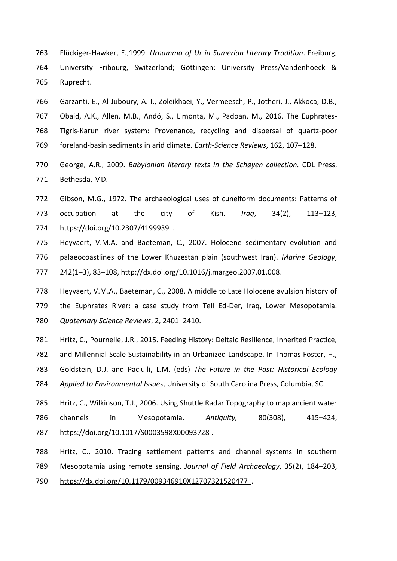- Flückiger-Hawker, E.,1999. *Urnamma of Ur in Sumerian Literary Tradition*. Freiburg, University Fribourg, Switzerland; Göttingen: University Press/Vandenhoeck & Ruprecht.
- Garzanti, E., Al-Juboury, A. I., Zoleikhaei, Y., Vermeesch, P., Jotheri, J., Akkoca, D.B., Obaid, A.K., Allen, M.B., Andó, S., Limonta, M., Padoan, M., 2016. The Euphrates- Tigris-Karun river system: Provenance, recycling and dispersal of quartz-poor foreland-basin sediments in arid climate. *Earth-Science Reviews*, 162, 107–128.
- George, A.R., 2009. *Babylonian literary texts in the Schøyen collection.* CDL Press, Bethesda, MD.
- Gibson, M.G., 1972. The archaeological uses of cuneiform documents: Patterns of occupation at the city of Kish. *Iraq*, 34(2), 113–123, <https://doi.org/10.2307/4199939>.
- Heyvaert, V.M.A. and Baeteman, C., 2007. Holocene sedimentary evolution and palaeocoastlines of the Lower Khuzestan plain (southwest Iran). *Marine Geology*, 242(1–3), 83–108, [http://dx.doi.org/10.1016/j.margeo.2007.01.008.](http://dx.doi.org/10.1016/j.margeo.2007.01.008)
- Heyvaert, V.M.A., Baeteman, C., 2008. A middle to Late Holocene avulsion history of the Euphrates River: a case study from Tell Ed-Der, Iraq, Lower Mesopotamia. *Quaternary Science Reviews*, 2, 2401–2410.
- Hritz, C., Pournelle, J.R., 2015. Feeding History: Deltaic Resilience, Inherited Practice, and Millennial-Scale Sustainability in an Urbanized Landscape. In Thomas Foster, H., Goldstein, D.J. and Paciulli, L.M. (eds) *The Future in the Past: Historical Ecology Applied to Environmental Issues*, University of South Carolina Press, Columbia, SC. Hritz, C., Wilkinson, T.J., 2006. Using Shuttle Radar Topography to map ancient water
- channels in Mesopotamia. *Antiquity,* 80(308), 415–424, <https://doi.org/10.1017/S0003598X00093728> .
- Hritz, C., 2010. Tracing settlement patterns and channel systems in southern Mesopotamia using remote sensing. *Journal of Field Archaeology*, 35(2), 184–203, [https://dx.doi.org/10.1179/009346910X12707321520477 .](https://dx.doi.org/10.1179/009346910X12707321520477)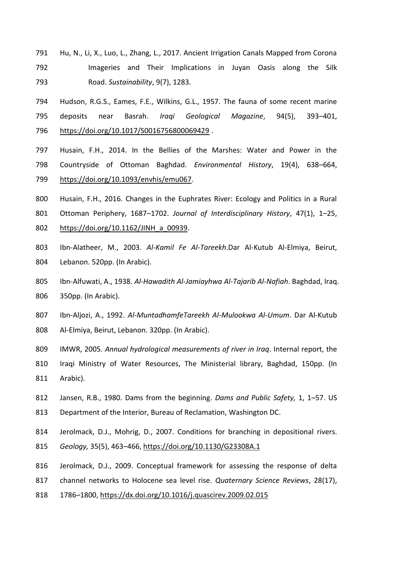- Hu, N., Li, X., Luo, L., Zhang, L., 2017. Ancient Irrigation Canals Mapped from Corona Imageries and Their Implications in Juyan Oasis along the Silk Road. *Sustainability*, 9(7), 1283.
- Hudson, R.G.S., Eames, F.E., Wilkins, G.L., 1957. The fauna of some recent marine deposits near Basrah. *Iraqi Geological Magazine*, 94(5), 393–401, <https://doi.org/10.1017/S0016756800069429> .
- Husain, F.H., 2014. In the Bellies of the Marshes: Water and Power in the Countryside of Ottoman Baghdad. *Environmental History*, 19(4), 638–664, [https://doi.org/10.1093/envhis/emu067.](https://doi.org/10.1093/envhis/emu067)
- Husain, F.H., 2016. Changes in the Euphrates River: Ecology and Politics in a Rural
- Ottoman Periphery, 1687–1702. *Journal of Interdisciplinary History*, 47(1), 1–25,
- [https://doi.org/10.1162/JINH\\_a\\_00939.](https://doi.org/10.1162/JINH_a_00939)
- Ibn-Alatheer, M., 2003. *Al-Kamil Fe Al-Tareekh*.Dar Al-Kutub Al-Elmiya, Beirut, Lebanon. 520pp. (In Arabic).
- Ibn-Alfuwati, A., 1938. *Al-Hawadith Al-Jamiayhwa Al-Tajarib Al-Nafiah*. Baghdad, Iraq. 350pp. (In Arabic).
- Ibn-Aljozi, A., 1992. *Al-MuntadhamfeTareekh Al-Mulookwa Al-Umum*. Dar Al-Kutub Al-Elmiya, Beirut, Lebanon. 320pp. (In Arabic).
- IMWR, 2005. *Annual hydrological measurements of river in Iraq*. Internal report, the
- Iraqi Ministry of Water Resources, The Ministerial library, Baghdad, 150pp. (In Arabic).
- Jansen, R.B., 1980. Dams from the beginning. *Dams and Public Safety,* 1, 1–57. US Department of the Interior, Bureau of Reclamation, Washington DC.
- Jerolmack, D.J., Mohrig, D., 2007. Conditions for branching in depositional rivers.
- *Geology,* 35(5), 463–466,<https://doi.org/10.1130/G23308A.1>
- Jerolmack, D.J., 2009. Conceptual framework for assessing the response of delta
- channel networks to Holocene sea level rise. *Quaternary Science Reviews*, 28(17),
- 1786–1800,<https://dx.doi.org/10.1016/j.quascirev.2009.02.015>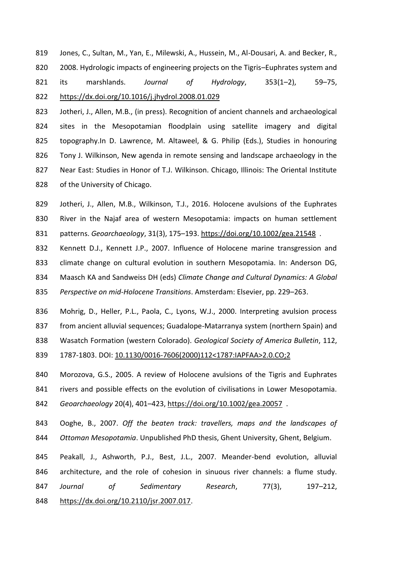Jones, C., Sultan, M., Yan, E., Milewski, A., Hussein, M., Al-Dousari, A. and Becker, R., 820 2008. Hydrologic impacts of engineering projects on the Tigris–Euphrates system and its marshlands. *Journal of Hydrology*, 353(1–2), 59–75, <https://dx.doi.org/10.1016/j.jhydrol.2008.01.029>

 Jotheri, J., Allen, M.B., (in press). Recognition of ancient channels and archaeological sites in the Mesopotamian floodplain using satellite imagery and digital topography.In D. Lawrence, M. Altaweel, & G. Philip (Eds.), Studies in honouring Tony J. Wilkinson, New agenda in remote sensing and landscape archaeology in the Near East: Studies in Honor of T.J. Wilkinson. Chicago, Illinois: The Oriental Institute of the University of Chicago.

 Jotheri, J., Allen, M.B., Wilkinson, T.J., 2016. Holocene avulsions of the Euphrates River in the Najaf area of western Mesopotamia: impacts on human settlement patterns. *Geoarchaeology*, 31(3), 175–193.<https://doi.org/10.1002/gea.21548> .

 Kennett D.J., Kennett J.P., 2007. Influence of Holocene marine transgression and climate change on cultural evolution in southern Mesopotamia. In: Anderson DG, Maasch KA and Sandweiss DH (eds) *Climate Change and Cultural Dynamics: A Global* 

*Perspective on mid-Holocene Transitions*. Amsterdam: Elsevier, pp. 229–263.

Mohrig, D., Heller, P.L., Paola, C., Lyons, W.J., 2000. Interpreting avulsion process

from ancient alluvial sequences; Guadalope-Matarranya system (northern Spain) and

Wasatch Formation (western Colorado). *Geological Society of America Bulletin*, 112,

1787-1803. DOI: [10.1130/0016-7606\(2000\)112<1787:IAPFAA>2.0.CO;2](http://dx.doi.org/10.1130/0016-7606(2000)112%3c1787:IAPFAA%3e2.0.CO;2)

 Morozova, G.S., 2005. A review of Holocene avulsions of the Tigris and Euphrates rivers and possible effects on the evolution of civilisations in Lower Mesopotamia. *Geoarchaeology* 20(4), 401–423,<https://doi.org/10.1002/gea.20057> .

 Ooghe, B., 2007. *Off the beaten track: travellers, maps and the landscapes of Ottoman Mesopotamia*. Unpublished PhD thesis, Ghent University, Ghent, Belgium.

 Peakall, J., Ashworth, P.J., Best, J.L., 2007. Meander-bend evolution, alluvial architecture, and the role of cohesion in sinuous river channels: a flume study. *Journal of Sedimentary Research*, 77(3), 197–212, [https://dx.doi.org/10.2110/jsr.2007.017.](https://dx.doi.org/10.2110/jsr.2007.017)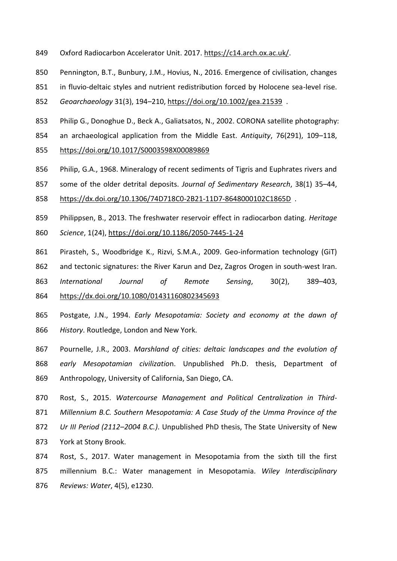- Oxford Radiocarbon Accelerator Unit. 2017. [https://c14.arch.ox.ac.uk/.](https://c14.arch.ox.ac.uk/)
- Pennington, B.T., Bunbury, J.M., Hovius, N., 2016. Emergence of civilisation, changes
- 851 in fluvio-deltaic styles and nutrient redistribution forced by Holocene sea-level rise.
- *Geoarchaeology* 31(3), 194–210,<https://doi.org/10.1002/gea.21539>.
- Philip G., Donoghue D., Beck A., Galiatsatos, N., 2002. CORONA satellite photography:
- an archaeological application from the Middle East. *Antiquity*, 76(291), 109–118, <https://doi.org/10.1017/S0003598X00089869>
- Philip, G.A., 1968. Mineralogy of recent sediments of Tigris and Euphrates rivers and
- some of the older detrital deposits. *Journal of Sedimentary Research*, 38(1) 35–44,
- <https://dx.doi.org/10.1306/74D718C0-2B21-11D7-8648000102C1865D> .
- Philippsen, B., 2013. The freshwater reservoir effect in radiocarbon dating. *Heritage Science*, 1(24),<https://doi.org/10.1186/2050-7445-1-24>
- Pirasteh, S., Woodbridge K., Rizvi, S.M.A., 2009. Geo-information technology (GiT)
- and tectonic signatures: the River Karun and Dez, Zagros Orogen in south-west Iran.
- *International Journal of Remote Sensing*, 30(2), 389–403,
- <https://dx.doi.org/10.1080/01431160802345693>
- Postgate, J.N., 1994. *Early Mesopotamia: Society and economy at the dawn of History*. Routledge, London and New York.
- Pournelle, J.R., 2003. *Marshland of cities: deltaic landscapes and the evolution of early Mesopotamian civilizatio*n. Unpublished Ph.D. thesis, Department of Anthropology, University of California, San Diego, CA.
- Rost, S., 2015. *Watercourse Management and Political Centralization in Third- Millennium B.C. Southern Mesopotamia: A Case Study of the Umma Province of the Ur III Period (2112–2004 B.C.)*. Unpublished PhD thesis, The State University of New York at Stony Brook.
- Rost, S., 2017. Water management in Mesopotamia from the sixth till the first millennium B.C.: Water management in Mesopotamia. *Wiley Interdisciplinary Reviews: Water*, 4(5), e1230.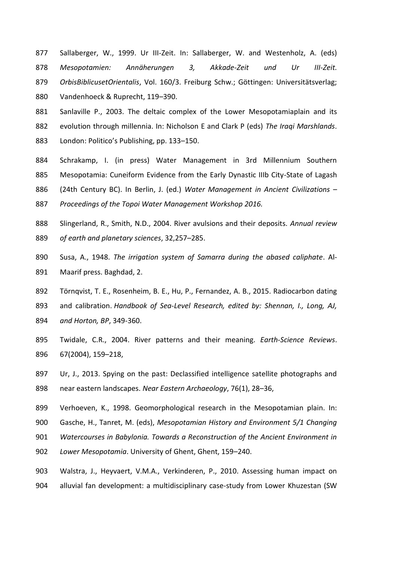Sallaberger, W., 1999. Ur III-Zeit. In: Sallaberger, W. and Westenholz, A. (eds) *Mesopotamien: Annäherungen 3, Akkade-Zeit und Ur III-Zeit. OrbisBiblicusetOrientalis*, Vol. 160/3. Freiburg Schw.; Göttingen: Universitätsverlag;

Vandenhoeck & Ruprecht, 119–390.

- Sanlaville P., 2003. The deltaic complex of the Lower Mesopotamiaplain and its evolution through millennia. In: Nicholson E and Clark P (eds) *The Iraqi Marshlands*. London: Politico's Publishing, pp. 133–150.
- Schrakamp, I. (in press) Water Management in 3rd Millennium Southern Mesopotamia: Cuneiform Evidence from the Early Dynastic IIIb City-State of Lagash
- (24th Century BC). In Berlin, J. (ed.) *Water Management in Ancient Civilizations –*

*Proceedings of the Topoi Water Management Workshop 2016.*

- Slingerland, R., Smith, N.D., 2004. River avulsions and their deposits. *Annual review of earth and planetary sciences*, 32,257–285.
- Susa, A., 1948. *The irrigation system of Samarra during the abased caliphate*. Al-Maarif press. Baghdad, 2.
- Törnqvist, T. E., Rosenheim, B. E., Hu, P., Fernandez, A. B., 2015. Radiocarbon dating
- and calibration. *Handbook of Sea-Level Research, edited by: Shennan, I., Long, AJ,*
- *and Horton, BP*, 349-360.
- Twidale, C.R., 2004. River patterns and their meaning. *Earth-Science Reviews*. 67(2004), 159–218,
- Ur, J., 2013. Spying on the past: Declassified intelligence satellite photographs and near eastern landscapes. *Near Eastern Archaeology*, 76(1), 28–36,
- Verhoeven, K., 1998. Geomorphological research in the Mesopotamian plain. In:
- Gasche, H., Tanret, M. (eds), *Mesopotamian History and Environment 5/1 Changing*
- *Watercourses in Babylonia. Towards a Reconstruction of the Ancient Environment in*
- *Lower Mesopotamia*. University of Ghent, Ghent, 159–240.
- Walstra, J., Heyvaert, V.M.A., Verkinderen, P., 2010. Assessing human impact on alluvial fan development: a multidisciplinary case-study from Lower Khuzestan (SW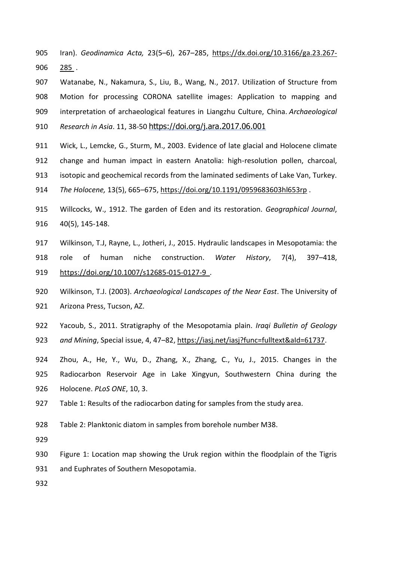- Iran). *Geodinamica Acta,* 23(5–6), 267–285, [https://dx.doi.org/10.3166/ga.23.267-](https://dx.doi.org/10.3166/ga.23.267-285) [285](https://dx.doi.org/10.3166/ga.23.267-285).
- Watanabe, N., Nakamura, S., Liu, B., Wang, N., 2017. Utilization of Structure from Motion for processing CORONA satellite images: Application to mapping and interpretation of archaeological features in Liangzhu Culture, China. *Archaeological Research in Asia*. 11, 38-50 https://doi.org/j.ara.2017.06.001
- Wick, L., Lemcke, G., Sturm, M., 2003. Evidence of late glacial and Holocene climate change and human impact in eastern Anatolia: high-resolution pollen, charcoal,
- isotopic and geochemical records from the laminated sediments of Lake Van, Turkey.
- *The Holocene,* 13(5), 665–675[, https://doi.org/10.1191/0959683603hl653rp](https://doi.org/10.1191/0959683603hl653rp) .
- Willcocks, W., 1912. The garden of Eden and its restoration. *Geographical Journal*, 40(5), 145-148.
- Wilkinson, T.J, Rayne, L., Jotheri, J., 2015. Hydraulic landscapes in Mesopotamia: the
- role of human niche construction. *Water History*, 7(4), 397–418, [https://doi.org/10.1007/s12685-015-0127-9](https://doi.org/10.1007/s12685-015-0127-9%20Accessed%206%20September%202017) .
- Wilkinson, T.J. (2003). *Archaeological Landscapes of the Near East*. The University of Arizona Press, Tucson, AZ.
- Yacoub, S., 2011. Stratigraphy of the Mesopotamia plain. *Iraqi Bulletin of Geology*
- *and Mining*, Special issue, 4, 47–82, [https://iasj.net/iasj?func=fulltext&aId=61737.](https://iasj.net/iasj?func=fulltext&aId=61737)
- Zhou, A., He, Y., Wu, D., Zhang, X., Zhang, C., Yu, J., 2015. Changes in the Radiocarbon Reservoir Age in Lake Xingyun, Southwestern China during the Holocene. *PLoS ONE*, 10, 3.
- Table 1: Results of the radiocarbon dating for samples from the study area.
- Table 2: Planktonic diatom in samples from borehole number M38.
- 
- Figure 1: Location map showing the Uruk region within the floodplain of the Tigris
- and Euphrates of Southern Mesopotamia.
-